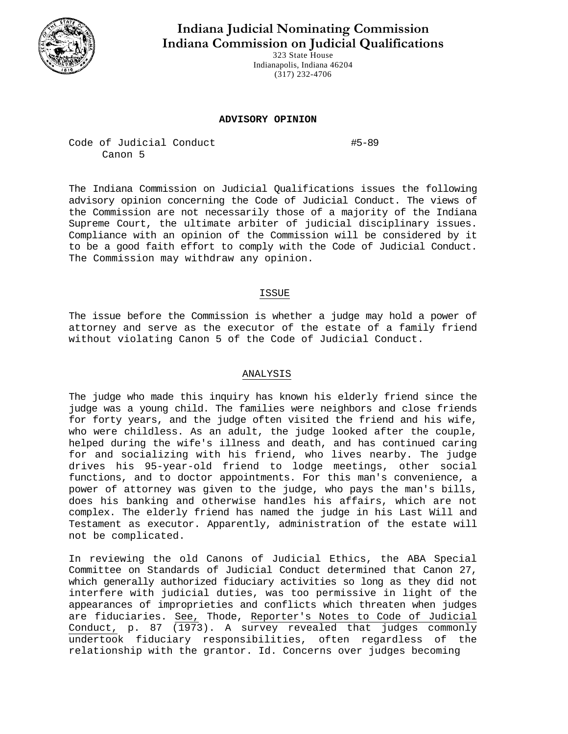

**Indiana Judicial Nominating Commission Indiana Commission on Judicial Qualifications** 

> 323 State House Indianapolis, Indiana 46204 (317) 232-4706

## **ADVISORY OPINION**

Code of Judicial Conduct #5-89 Canon 5

The Indiana Commission on Judicial Qualifications issues the following advisory opinion concerning the Code of Judicial Conduct. The views of the Commission are not necessarily those of a majority of the Indiana Supreme Court, the ultimate arbiter of judicial disciplinary issues. Compliance with an opinion of the Commission will be considered by it to be a good faith effort to comply with the Code of Judicial Conduct. The Commission may withdraw any opinion.

## ISSUE

The issue before the Commission is whether a judge may hold a power of attorney and serve as the executor of the estate of a family friend without violating Canon 5 of the Code of Judicial Conduct.

## ANALYSIS

The judge who made this inquiry has known his elderly friend since the judge was a young child. The families were neighbors and close friends for forty years, and the judge often visited the friend and his wife, who were childless. As an adult, the judge looked after the couple, helped during the wife's illness and death, and has continued caring for and socializing with his friend, who lives nearby. The judge drives his 95-year-old friend to lodge meetings, other social functions, and to doctor appointments. For this man's convenience, a power of attorney was given to the judge, who pays the man's bills, does his banking and otherwise handles his affairs, which are not complex. The elderly friend has named the judge in his Last Will and Testament as executor. Apparently, administration of the estate will not be complicated.

In reviewing the old Canons of Judicial Ethics, the ABA Special Committee on Standards of Judicial Conduct determined that Canon 27, which generally authorized fiduciary activities so long as they did not interfere with judicial duties, was too permissive in light of the appearances of improprieties and conflicts which threaten when judges are fiduciaries. See, Thode, Reporter's Notes to Code of Judicial Conduct, p. 87 (1973). A survey revealed that judges commonly undertook fiduciary responsibilities, often regardless of the relationship with the grantor. Id. Concerns over judges becoming